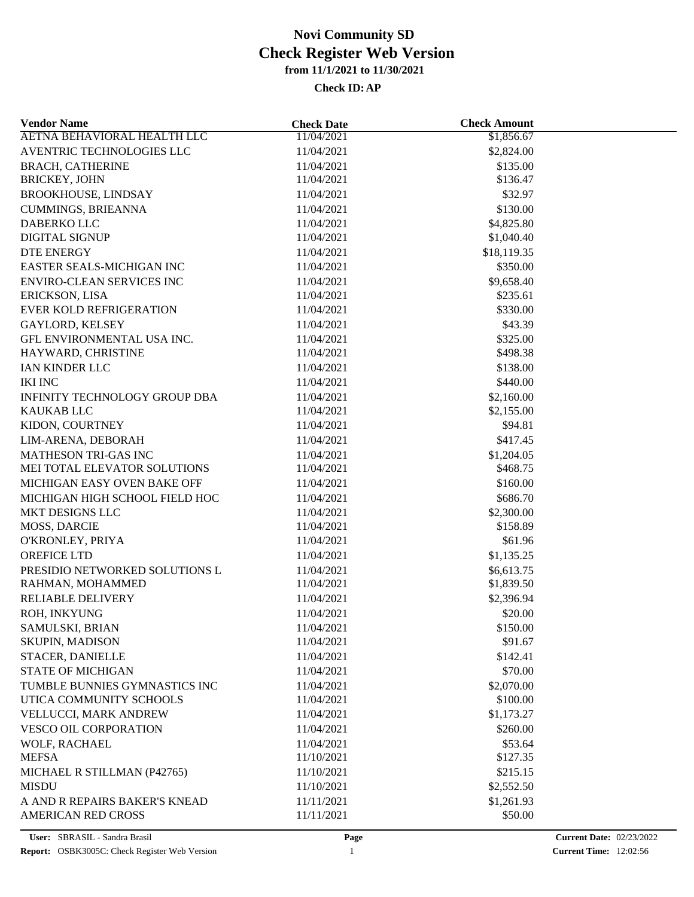| <b>Vendor Name</b>                 | <b>Check Date</b> | <b>Check Amount</b>    |  |  |  |  |  |
|------------------------------------|-------------------|------------------------|--|--|--|--|--|
| <b>AETNA BEHAVIORAL HEALTH LLC</b> | 11/04/2021        | \$1,856.67             |  |  |  |  |  |
| AVENTRIC TECHNOLOGIES LLC          | 11/04/2021        | \$2,824.00             |  |  |  |  |  |
| <b>BRACH, CATHERINE</b>            | 11/04/2021        | \$135.00               |  |  |  |  |  |
| <b>BRICKEY, JOHN</b>               | 11/04/2021        | \$136.47               |  |  |  |  |  |
| <b>BROOKHOUSE, LINDSAY</b>         | 11/04/2021        | \$32.97                |  |  |  |  |  |
| <b>CUMMINGS, BRIEANNA</b>          | 11/04/2021        | \$130.00               |  |  |  |  |  |
| DABERKO LLC                        | 11/04/2021        | \$4,825.80             |  |  |  |  |  |
| <b>DIGITAL SIGNUP</b>              | 11/04/2021        | \$1,040.40             |  |  |  |  |  |
| DTE ENERGY                         | 11/04/2021        | \$18,119.35            |  |  |  |  |  |
| EASTER SEALS-MICHIGAN INC          | 11/04/2021        | \$350.00               |  |  |  |  |  |
| <b>ENVIRO-CLEAN SERVICES INC</b>   | 11/04/2021        | \$9,658.40             |  |  |  |  |  |
| ERICKSON, LISA                     | 11/04/2021        | \$235.61               |  |  |  |  |  |
| <b>EVER KOLD REFRIGERATION</b>     | 11/04/2021        | \$330.00               |  |  |  |  |  |
| <b>GAYLORD, KELSEY</b>             | 11/04/2021        | \$43.39                |  |  |  |  |  |
| GFL ENVIRONMENTAL USA INC.         | 11/04/2021        | \$325.00               |  |  |  |  |  |
| HAYWARD, CHRISTINE                 | 11/04/2021        | \$498.38               |  |  |  |  |  |
| IAN KINDER LLC                     | 11/04/2021        | \$138.00               |  |  |  |  |  |
| <b>IKI INC</b>                     | 11/04/2021        | \$440.00               |  |  |  |  |  |
| INFINITY TECHNOLOGY GROUP DBA      | 11/04/2021        | \$2,160.00             |  |  |  |  |  |
| KAUKAB LLC                         | 11/04/2021        | \$2,155.00             |  |  |  |  |  |
| KIDON, COURTNEY                    | 11/04/2021        | \$94.81                |  |  |  |  |  |
| LIM-ARENA, DEBORAH                 | 11/04/2021        | \$417.45               |  |  |  |  |  |
| <b>MATHESON TRI-GAS INC</b>        | 11/04/2021        | \$1,204.05             |  |  |  |  |  |
| MEI TOTAL ELEVATOR SOLUTIONS       | 11/04/2021        | \$468.75               |  |  |  |  |  |
| MICHIGAN EASY OVEN BAKE OFF        | 11/04/2021        | \$160.00               |  |  |  |  |  |
| MICHIGAN HIGH SCHOOL FIELD HOC     | 11/04/2021        | \$686.70               |  |  |  |  |  |
| MKT DESIGNS LLC                    | 11/04/2021        | \$2,300.00             |  |  |  |  |  |
| MOSS, DARCIE                       | 11/04/2021        | \$158.89               |  |  |  |  |  |
| O'KRONLEY, PRIYA                   | 11/04/2021        | \$61.96                |  |  |  |  |  |
| <b>OREFICE LTD</b>                 | 11/04/2021        | \$1,135.25             |  |  |  |  |  |
| PRESIDIO NETWORKED SOLUTIONS L     | 11/04/2021        | \$6,613.75             |  |  |  |  |  |
| RAHMAN, MOHAMMED                   | 11/04/2021        | \$1,839.50             |  |  |  |  |  |
| <b>RELIABLE DELIVERY</b>           | 11/04/2021        | \$2,396.94             |  |  |  |  |  |
| ROH, INKYUNG                       | 11/04/2021        | \$20.00                |  |  |  |  |  |
| SAMULSKI, BRIAN                    | 11/04/2021        | \$150.00               |  |  |  |  |  |
| <b>SKUPIN, MADISON</b>             | 11/04/2021        | \$91.67                |  |  |  |  |  |
| STACER, DANIELLE                   | 11/04/2021        | \$142.41               |  |  |  |  |  |
| <b>STATE OF MICHIGAN</b>           |                   | \$70.00                |  |  |  |  |  |
| TUMBLE BUNNIES GYMNASTICS INC      | 11/04/2021        |                        |  |  |  |  |  |
| UTICA COMMUNITY SCHOOLS            | 11/04/2021        | \$2,070.00<br>\$100.00 |  |  |  |  |  |
|                                    | 11/04/2021        |                        |  |  |  |  |  |
| VELLUCCI, MARK ANDREW              | 11/04/2021        | \$1,173.27             |  |  |  |  |  |
| VESCO OIL CORPORATION              | 11/04/2021        | \$260.00               |  |  |  |  |  |
| WOLF, RACHAEL                      | 11/04/2021        | \$53.64                |  |  |  |  |  |
| <b>MEFSA</b>                       | 11/10/2021        | \$127.35               |  |  |  |  |  |
| MICHAEL R STILLMAN (P42765)        | 11/10/2021        | \$215.15               |  |  |  |  |  |
| <b>MISDU</b>                       | 11/10/2021        | \$2,552.50             |  |  |  |  |  |
| A AND R REPAIRS BAKER'S KNEAD      | 11/11/2021        | \$1,261.93             |  |  |  |  |  |
| AMERICAN RED CROSS                 | 11/11/2021        | \$50.00                |  |  |  |  |  |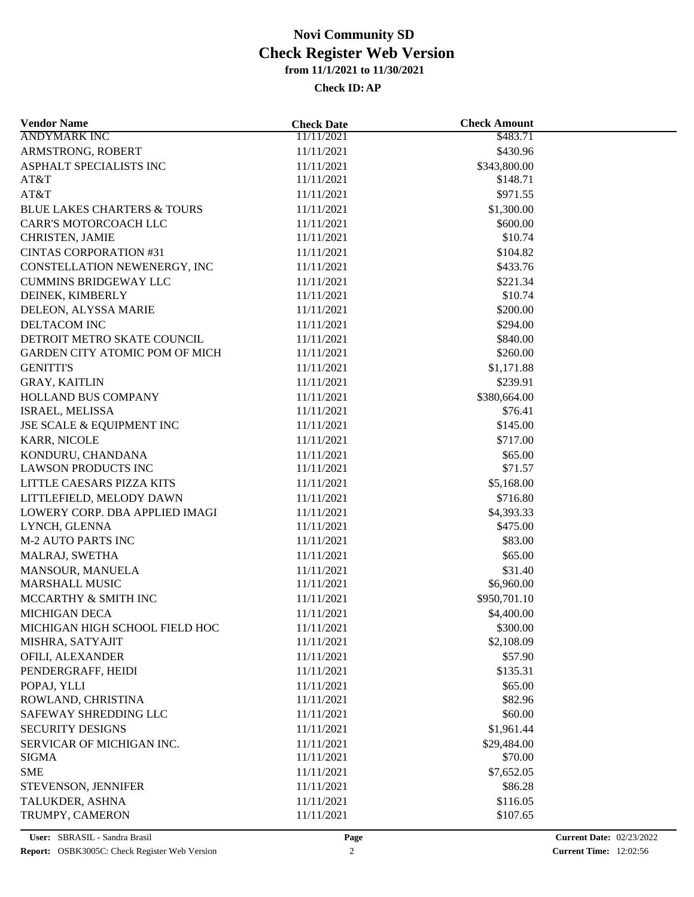| <b>Vendor Name</b>                     | <b>Check Date</b> | <b>Check Amount</b> |  |
|----------------------------------------|-------------------|---------------------|--|
| <b>ANDYMARK INC</b>                    | 11/11/2021        | \$483.71            |  |
| ARMSTRONG, ROBERT                      | 11/11/2021        | \$430.96            |  |
| ASPHALT SPECIALISTS INC                | 11/11/2021        | \$343,800.00        |  |
| AT&T                                   | 11/11/2021        | \$148.71            |  |
| AT&T                                   | 11/11/2021        | \$971.55            |  |
| <b>BLUE LAKES CHARTERS &amp; TOURS</b> | 11/11/2021        | \$1,300.00          |  |
| CARR'S MOTORCOACH LLC                  | 11/11/2021        | \$600.00            |  |
| CHRISTEN, JAMIE                        | 11/11/2021        | \$10.74             |  |
| <b>CINTAS CORPORATION #31</b>          | 11/11/2021        | \$104.82            |  |
| CONSTELLATION NEWENERGY, INC           | 11/11/2021        | \$433.76            |  |
| <b>CUMMINS BRIDGEWAY LLC</b>           | 11/11/2021        | \$221.34            |  |
| DEINEK, KIMBERLY                       | 11/11/2021        | \$10.74             |  |
| DELEON, ALYSSA MARIE                   | 11/11/2021        | \$200.00            |  |
| DELTACOM INC                           | 11/11/2021        | \$294.00            |  |
| DETROIT METRO SKATE COUNCIL            | 11/11/2021        | \$840.00            |  |
| <b>GARDEN CITY ATOMIC POM OF MICH</b>  | 11/11/2021        | \$260.00            |  |
| <b>GENITTI'S</b>                       | 11/11/2021        | \$1,171.88          |  |
| <b>GRAY, KAITLIN</b>                   | 11/11/2021        | \$239.91            |  |
| HOLLAND BUS COMPANY                    | 11/11/2021        | \$380,664.00        |  |
| ISRAEL, MELISSA                        | 11/11/2021        | \$76.41             |  |
| JSE SCALE & EQUIPMENT INC              | 11/11/2021        | \$145.00            |  |
| KARR, NICOLE                           | 11/11/2021        | \$717.00            |  |
| KONDURU, CHANDANA                      | 11/11/2021        | \$65.00             |  |
| <b>LAWSON PRODUCTS INC</b>             | 11/11/2021        | \$71.57             |  |
| LITTLE CAESARS PIZZA KITS              | 11/11/2021        | \$5,168.00          |  |
| LITTLEFIELD, MELODY DAWN               | 11/11/2021        | \$716.80            |  |
| LOWERY CORP. DBA APPLIED IMAGI         | 11/11/2021        | \$4,393.33          |  |
| LYNCH, GLENNA                          | 11/11/2021        | \$475.00            |  |
| <b>M-2 AUTO PARTS INC</b>              | 11/11/2021        | \$83.00             |  |
| MALRAJ, SWETHA                         | 11/11/2021        | \$65.00             |  |
| MANSOUR, MANUELA                       | 11/11/2021        | \$31.40             |  |
| MARSHALL MUSIC                         | 11/11/2021        | \$6,960.00          |  |
| MCCARTHY & SMITH INC                   | 11/11/2021        | \$950,701.10        |  |
| <b>MICHIGAN DECA</b>                   | 11/11/2021        | \$4,400.00          |  |
| MICHIGAN HIGH SCHOOL FIELD HOC         | 11/11/2021        | \$300.00            |  |
| MISHRA, SATYAJIT                       | 11/11/2021        | \$2,108.09          |  |
| OFILI, ALEXANDER                       | 11/11/2021        | \$57.90             |  |
| PENDERGRAFF, HEIDI                     | 11/11/2021        | \$135.31            |  |
| POPAJ, YLLI                            | 11/11/2021        | \$65.00             |  |
| ROWLAND, CHRISTINA                     | 11/11/2021        | \$82.96             |  |
| SAFEWAY SHREDDING LLC                  | 11/11/2021        | \$60.00             |  |
| <b>SECURITY DESIGNS</b>                | 11/11/2021        | \$1,961.44          |  |
| SERVICAR OF MICHIGAN INC.              | 11/11/2021        | \$29,484.00         |  |
| <b>SIGMA</b>                           | 11/11/2021        | \$70.00             |  |
| <b>SME</b>                             | 11/11/2021        | \$7,652.05          |  |
| STEVENSON, JENNIFER                    | 11/11/2021        | \$86.28             |  |
| TALUKDER, ASHNA                        | 11/11/2021        | \$116.05            |  |
| TRUMPY, CAMERON                        | 11/11/2021        | \$107.65            |  |
|                                        |                   |                     |  |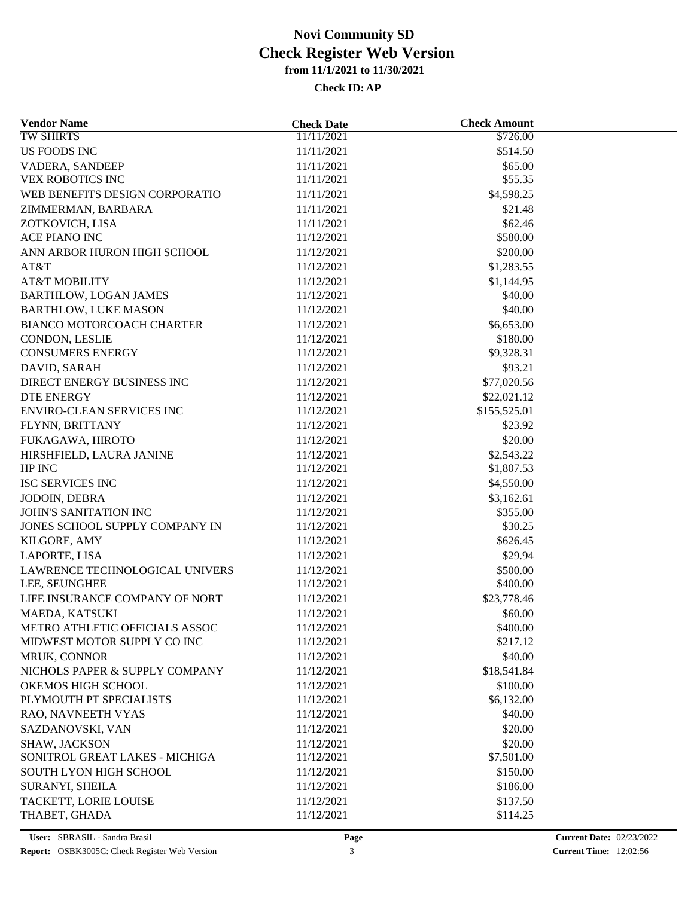| <b>Vendor Name</b>               | <b>Check Date</b> | <b>Check Amount</b> |  |
|----------------------------------|-------------------|---------------------|--|
| <b>TW SHIRTS</b>                 | 11/11/2021        | \$726.00            |  |
| US FOODS INC                     | 11/11/2021        | \$514.50            |  |
| VADERA, SANDEEP                  | 11/11/2021        | \$65.00             |  |
| <b>VEX ROBOTICS INC</b>          | 11/11/2021        | \$55.35             |  |
| WEB BENEFITS DESIGN CORPORATIO   | 11/11/2021        | \$4,598.25          |  |
| ZIMMERMAN, BARBARA               | 11/11/2021        | \$21.48             |  |
| ZOTKOVICH, LISA                  | 11/11/2021        | \$62.46             |  |
| ACE PIANO INC                    | 11/12/2021        | \$580.00            |  |
| ANN ARBOR HURON HIGH SCHOOL      | 11/12/2021        | \$200.00            |  |
| AT&T                             | 11/12/2021        | \$1,283.55          |  |
| AT&T MOBILITY                    | 11/12/2021        | \$1,144.95          |  |
| <b>BARTHLOW, LOGAN JAMES</b>     | 11/12/2021        | \$40.00             |  |
| <b>BARTHLOW, LUKE MASON</b>      | 11/12/2021        | \$40.00             |  |
| <b>BIANCO MOTORCOACH CHARTER</b> | 11/12/2021        | \$6,653.00          |  |
| CONDON, LESLIE                   | 11/12/2021        | \$180.00            |  |
| <b>CONSUMERS ENERGY</b>          | 11/12/2021        | \$9,328.31          |  |
| DAVID, SARAH                     | 11/12/2021        | \$93.21             |  |
| DIRECT ENERGY BUSINESS INC       | 11/12/2021        | \$77,020.56         |  |
| <b>DTE ENERGY</b>                | 11/12/2021        | \$22,021.12         |  |
| ENVIRO-CLEAN SERVICES INC        | 11/12/2021        | \$155,525.01        |  |
| FLYNN, BRITTANY                  | 11/12/2021        | \$23.92             |  |
| FUKAGAWA, HIROTO                 | 11/12/2021        | \$20.00             |  |
| HIRSHFIELD, LAURA JANINE         | 11/12/2021        | \$2,543.22          |  |
| HP INC                           | 11/12/2021        | \$1,807.53          |  |
| ISC SERVICES INC                 | 11/12/2021        | \$4,550.00          |  |
| JODOIN, DEBRA                    | 11/12/2021        | \$3,162.61          |  |
| JOHN'S SANITATION INC            | 11/12/2021        | \$355.00            |  |
| JONES SCHOOL SUPPLY COMPANY IN   | 11/12/2021        | \$30.25             |  |
| KILGORE, AMY                     | 11/12/2021        | \$626.45            |  |
| LAPORTE, LISA                    | 11/12/2021        | \$29.94             |  |
| LAWRENCE TECHNOLOGICAL UNIVERS   | 11/12/2021        | \$500.00            |  |
| LEE, SEUNGHEE                    | 11/12/2021        | \$400.00            |  |
| LIFE INSURANCE COMPANY OF NORT   | 11/12/2021        | \$23,778.46         |  |
| MAEDA, KATSUKI                   | 11/12/2021        | \$60.00             |  |
| METRO ATHLETIC OFFICIALS ASSOC   | 11/12/2021        | \$400.00            |  |
| MIDWEST MOTOR SUPPLY CO INC      | 11/12/2021        | \$217.12            |  |
| <b>MRUK, CONNOR</b>              | 11/12/2021        | \$40.00             |  |
| NICHOLS PAPER & SUPPLY COMPANY   | 11/12/2021        | \$18,541.84         |  |
| OKEMOS HIGH SCHOOL               | 11/12/2021        | \$100.00            |  |
| PLYMOUTH PT SPECIALISTS          | 11/12/2021        | \$6,132.00          |  |
| RAO, NAVNEETH VYAS               | 11/12/2021        | \$40.00             |  |
| SAZDANOVSKI, VAN                 | 11/12/2021        | \$20.00             |  |
| SHAW, JACKSON                    | 11/12/2021        | \$20.00             |  |
| SONITROL GREAT LAKES - MICHIGA   | 11/12/2021        | \$7,501.00          |  |
| SOUTH LYON HIGH SCHOOL           | 11/12/2021        | \$150.00            |  |
| SURANYI, SHEILA                  | 11/12/2021        | \$186.00            |  |
| TACKETT, LORIE LOUISE            | 11/12/2021        | \$137.50            |  |
| THABET, GHADA                    | 11/12/2021        | \$114.25            |  |
|                                  |                   |                     |  |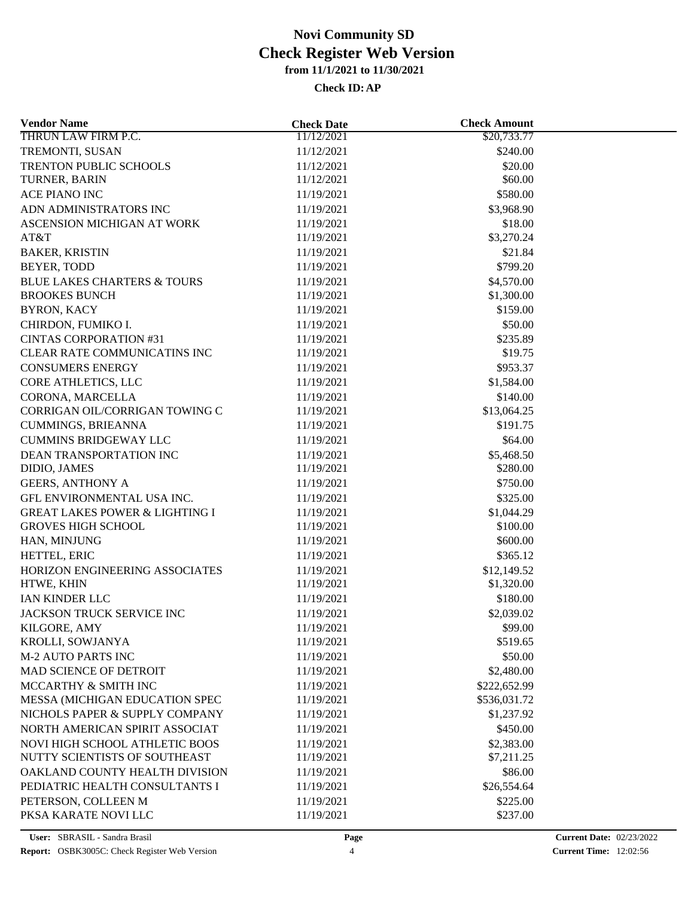| <b>Vendor Name</b>                        | <b>Check Date</b> | <b>Check Amount</b> |  |
|-------------------------------------------|-------------------|---------------------|--|
| THRUN LAW FIRM P.C.                       | 11/12/2021        | \$20,733.77         |  |
| TREMONTI, SUSAN                           | 11/12/2021        | \$240.00            |  |
| TRENTON PUBLIC SCHOOLS                    | 11/12/2021        | \$20.00             |  |
| TURNER, BARIN                             | 11/12/2021        | \$60.00             |  |
| <b>ACE PIANO INC</b>                      | 11/19/2021        | \$580.00            |  |
| ADN ADMINISTRATORS INC                    | 11/19/2021        | \$3,968.90          |  |
| ASCENSION MICHIGAN AT WORK                | 11/19/2021        | \$18.00             |  |
| AT&T                                      | 11/19/2021        | \$3,270.24          |  |
| <b>BAKER, KRISTIN</b>                     | 11/19/2021        | \$21.84             |  |
| BEYER, TODD                               | 11/19/2021        | \$799.20            |  |
| <b>BLUE LAKES CHARTERS &amp; TOURS</b>    | 11/19/2021        | \$4,570.00          |  |
| <b>BROOKES BUNCH</b>                      | 11/19/2021        | \$1,300.00          |  |
| <b>BYRON, KACY</b>                        | 11/19/2021        | \$159.00            |  |
| CHIRDON, FUMIKO I.                        | 11/19/2021        | \$50.00             |  |
| <b>CINTAS CORPORATION #31</b>             | 11/19/2021        | \$235.89            |  |
| CLEAR RATE COMMUNICATINS INC              | 11/19/2021        | \$19.75             |  |
| <b>CONSUMERS ENERGY</b>                   | 11/19/2021        | \$953.37            |  |
| CORE ATHLETICS, LLC                       | 11/19/2021        | \$1,584.00          |  |
| CORONA, MARCELLA                          | 11/19/2021        | \$140.00            |  |
| CORRIGAN OIL/CORRIGAN TOWING C            | 11/19/2021        | \$13,064.25         |  |
| <b>CUMMINGS, BRIEANNA</b>                 | 11/19/2021        | \$191.75            |  |
| <b>CUMMINS BRIDGEWAY LLC</b>              | 11/19/2021        | \$64.00             |  |
| DEAN TRANSPORTATION INC                   | 11/19/2021        | \$5,468.50          |  |
| DIDIO, JAMES                              | 11/19/2021        | \$280.00            |  |
| <b>GEERS, ANTHONY A</b>                   | 11/19/2021        | \$750.00            |  |
| GFL ENVIRONMENTAL USA INC.                | 11/19/2021        | \$325.00            |  |
| <b>GREAT LAKES POWER &amp; LIGHTING I</b> | 11/19/2021        | \$1,044.29          |  |
| <b>GROVES HIGH SCHOOL</b>                 | 11/19/2021        | \$100.00            |  |
| HAN, MINJUNG                              | 11/19/2021        | \$600.00            |  |
| HETTEL, ERIC                              | 11/19/2021        | \$365.12            |  |
| HORIZON ENGINEERING ASSOCIATES            | 11/19/2021        | \$12,149.52         |  |
| HTWE, KHIN                                | 11/19/2021        | \$1,320.00          |  |
| IAN KINDER LLC                            | 11/19/2021        | \$180.00            |  |
| JACKSON TRUCK SERVICE INC                 | 11/19/2021        | \$2,039.02          |  |
| KILGORE, AMY                              | 11/19/2021        | \$99.00             |  |
| KROLLI, SOWJANYA                          | 11/19/2021        | \$519.65            |  |
| <b>M-2 AUTO PARTS INC</b>                 | 11/19/2021        | \$50.00             |  |
| MAD SCIENCE OF DETROIT                    | 11/19/2021        | \$2,480.00          |  |
| MCCARTHY & SMITH INC                      | 11/19/2021        | \$222,652.99        |  |
| MESSA (MICHIGAN EDUCATION SPEC            | 11/19/2021        | \$536,031.72        |  |
| NICHOLS PAPER & SUPPLY COMPANY            | 11/19/2021        | \$1,237.92          |  |
| NORTH AMERICAN SPIRIT ASSOCIAT            | 11/19/2021        | \$450.00            |  |
| NOVI HIGH SCHOOL ATHLETIC BOOS            | 11/19/2021        | \$2,383.00          |  |
| NUTTY SCIENTISTS OF SOUTHEAST             | 11/19/2021        | \$7,211.25          |  |
| OAKLAND COUNTY HEALTH DIVISION            | 11/19/2021        | \$86.00             |  |
| PEDIATRIC HEALTH CONSULTANTS I            | 11/19/2021        | \$26,554.64         |  |
| PETERSON, COLLEEN M                       | 11/19/2021        | \$225.00            |  |
| PKSA KARATE NOVI LLC                      | 11/19/2021        | \$237.00            |  |
|                                           |                   |                     |  |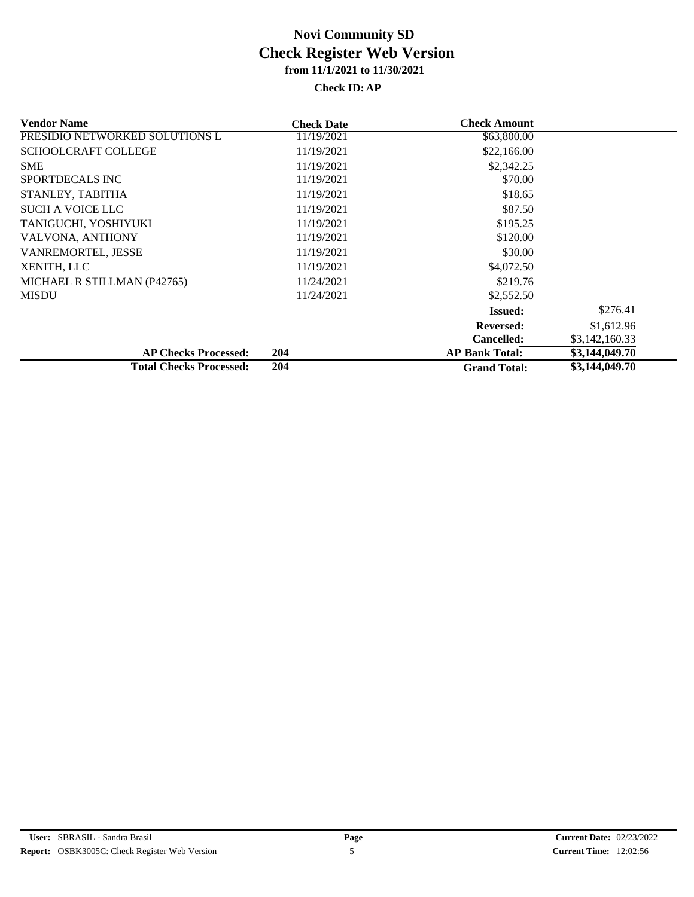| <b>Vendor Name</b>             | <b>Check Date</b> | <b>Check Amount</b>   |                |
|--------------------------------|-------------------|-----------------------|----------------|
| PRESIDIO NETWORKED SOLUTIONS L | 11/19/2021        | \$63,800.00           |                |
| <b>SCHOOLCRAFT COLLEGE</b>     | 11/19/2021        | \$22,166.00           |                |
| <b>SME</b>                     | 11/19/2021        | \$2,342.25            |                |
| SPORTDECALS INC                | 11/19/2021        | \$70.00               |                |
| STANLEY, TABITHA               | 11/19/2021        | \$18.65               |                |
| <b>SUCH A VOICE LLC</b>        | 11/19/2021        | \$87.50               |                |
| TANIGUCHI, YOSHIYUKI           | 11/19/2021        | \$195.25              |                |
| VALVONA, ANTHONY               | 11/19/2021        | \$120.00              |                |
| VANREMORTEL, JESSE             | 11/19/2021        | \$30.00               |                |
| XENITH, LLC                    | 11/19/2021        | \$4,072.50            |                |
| MICHAEL R STILLMAN (P42765)    | 11/24/2021        | \$219.76              |                |
| <b>MISDU</b>                   | 11/24/2021        | \$2,552.50            |                |
|                                |                   | <b>Issued:</b>        | \$276.41       |
|                                |                   | <b>Reversed:</b>      | \$1,612.96     |
|                                |                   | <b>Cancelled:</b>     | \$3,142,160.33 |
| <b>AP Checks Processed:</b>    | 204               | <b>AP Bank Total:</b> | \$3,144,049.70 |
| <b>Total Checks Processed:</b> | 204               | <b>Grand Total:</b>   | \$3,144,049.70 |